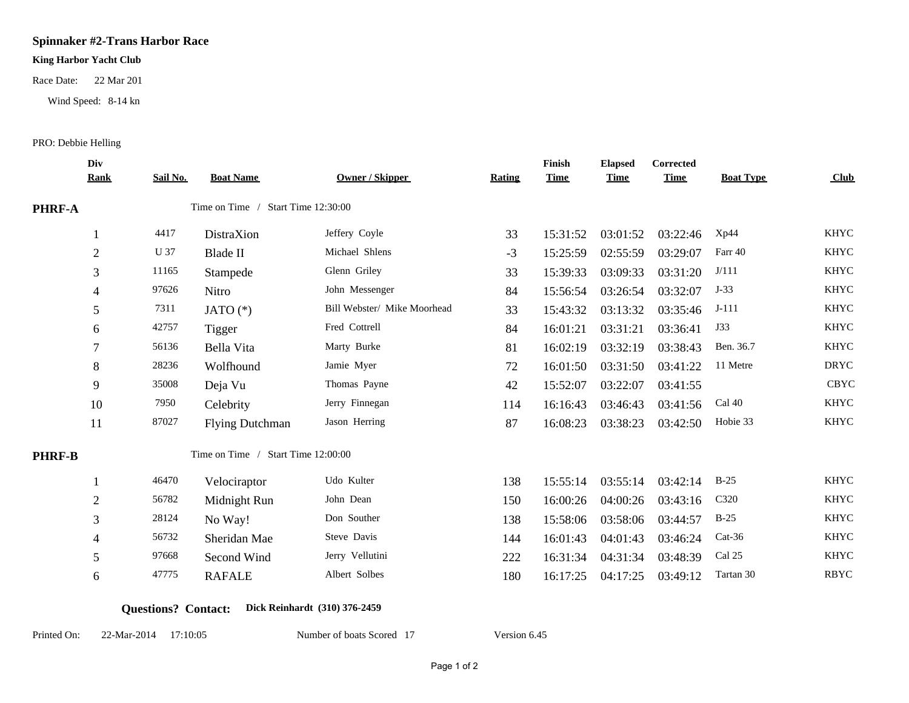## **Spinnaker #2-Trans Harbor Race**

#### **King Harbor Yacht Club**

Race Date: 22 Mar 201

Wind Speed: 8-14 kn

#### PRO: Debbie Helling

|               | Div<br><b>Rank</b> | Sail No. | <b>Boat Name</b>                   | <b>Owner / Skipper</b>      | <b>Rating</b> | Finish<br><b>Time</b> | <b>Elapsed</b><br><b>Time</b> | <b>Corrected</b><br><b>Time</b> | <b>Boat Type</b> | Club        |
|---------------|--------------------|----------|------------------------------------|-----------------------------|---------------|-----------------------|-------------------------------|---------------------------------|------------------|-------------|
|               |                    |          |                                    |                             |               |                       |                               |                                 |                  |             |
| PHRF-A        |                    |          | Time on Time / Start Time 12:30:00 |                             |               |                       |                               |                                 |                  |             |
|               |                    | 4417     | DistraXion                         | Jeffery Coyle               | 33            | 15:31:52              | 03:01:52                      | 03:22:46                        | Xp44             | <b>KHYC</b> |
|               | $\overline{2}$     | U 37     | <b>Blade II</b>                    | Michael Shlens              | $-3$          | 15:25:59              | 02:55:59                      | 03:29:07                        | Farr 40          | <b>KHYC</b> |
|               | 3                  | 11165    | Stampede                           | Glenn Griley                | 33            | 15:39:33              | 03:09:33                      | 03:31:20                        | J/111            | <b>KHYC</b> |
|               | 4                  | 97626    | Nitro                              | John Messenger              | 84            | 15:56:54              | 03:26:54                      | 03:32:07                        | $J-33$           | <b>KHYC</b> |
|               | 5                  | 7311     | JATO $(*)$                         | Bill Webster/ Mike Moorhead | 33            | 15:43:32              | 03:13:32                      | 03:35:46                        | $J-111$          | <b>KHYC</b> |
|               | 6                  | 42757    | Tigger                             | Fred Cottrell               | 84            | 16:01:21              | 03:31:21                      | 03:36:41                        | J33              | <b>KHYC</b> |
|               | 7                  | 56136    | Bella Vita                         | Marty Burke                 | 81            | 16:02:19              | 03:32:19                      | 03:38:43                        | Ben. 36.7        | <b>KHYC</b> |
|               | 8                  | 28236    | Wolfhound                          | Jamie Myer                  | 72            | 16:01:50              | 03:31:50                      | 03:41:22                        | 11 Metre         | <b>DRYC</b> |
|               | 9                  | 35008    | Deja Vu                            | Thomas Payne                | 42            | 15:52:07              | 03:22:07                      | 03:41:55                        |                  | <b>CBYC</b> |
|               | 10                 | 7950     | Celebrity                          | Jerry Finnegan              | 114           | 16:16:43              | 03:46:43                      | 03:41:56                        | Cal 40           | <b>KHYC</b> |
|               | 11                 | 87027    | <b>Flying Dutchman</b>             | Jason Herring               | 87            | 16:08:23              | 03:38:23                      | 03:42:50                        | Hobie 33         | <b>KHYC</b> |
| <b>PHRF-B</b> |                    |          | Time on Time / Start Time 12:00:00 |                             |               |                       |                               |                                 |                  |             |
|               |                    |          |                                    |                             |               |                       |                               |                                 |                  |             |
|               |                    | 46470    | Velociraptor                       | Udo Kulter                  | 138           | 15:55:14              | 03:55:14                      | 03:42:14                        | $B-25$           | <b>KHYC</b> |
|               | $\sqrt{2}$         | 56782    | Midnight Run                       | John Dean                   | 150           | 16:00:26              | 04:00:26                      | 03:43:16                        | C320             | <b>KHYC</b> |
|               | 3                  | 28124    | No Way!                            | Don Souther                 | 138           | 15:58:06              | 03:58:06                      | 03:44:57                        | $B-25$           | <b>KHYC</b> |
|               | $\overline{4}$     | 56732    | Sheridan Mae                       | Steve Davis                 | 144           | 16:01:43              | 04:01:43                      | 03:46:24                        | $Cat-36$         | <b>KHYC</b> |
|               | 5                  | 97668    | Second Wind                        | Jerry Vellutini             | 222           | 16:31:34              | 04:31:34                      | 03:48:39                        | Cal 25           | <b>KHYC</b> |
|               | 6                  | 47775    | <b>RAFALE</b>                      | Albert Solbes               | 180           | 16:17:25              | 04:17:25                      | 03:49:12                        | Tartan 30        | <b>RBYC</b> |
|               |                    |          |                                    |                             |               |                       |                               |                                 |                  |             |

**Questions? Contact: Dick Reinhardt (310) 376-2459**

#### Printed On: 22-Mar-2014 17:10:05

Number of boats Scored 17 Version 6.45